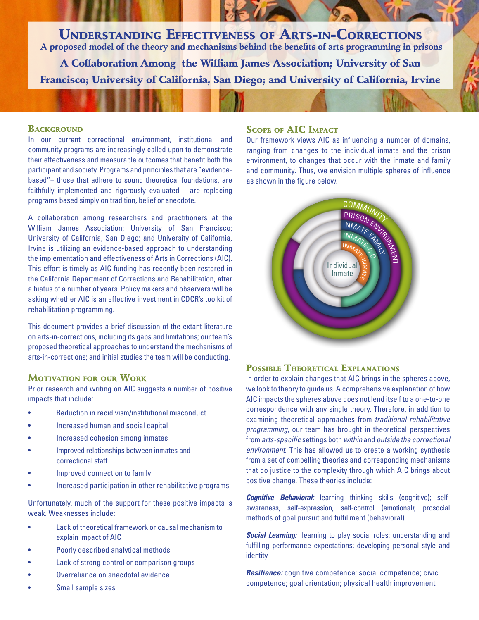Understanding Effectiveness of Arts-in-Corrections  **A proposed model of the theory and mechanisms behind the benefits of arts programming in prisons**

A Collaboration Among the William James Association; University of San Francisco; University of California, San Diego; and University of California, Irvine

#### **BACKGROUND**

In our current correctional environment, institutional and community programs are increasingly called upon to demonstrate their effectiveness and measurable outcomes that benefit both the participant and society. Programs and principles that are "evidencebased"− those that adhere to sound theoretical foundations, are faithfully implemented and rigorously evaluated − are replacing programs based simply on tradition, belief or anecdote.

A collaboration among researchers and practitioners at the William James Association; University of San Francisco; University of California, San Diego; and University of California, Irvine is utilizing an evidence-based approach to understanding the implementation and effectiveness of Arts in Corrections (AIC). This effort is timely as AIC funding has recently been restored in the California Department of Corrections and Rehabilitation, after a hiatus of a number of years. Policy makers and observers will be asking whether AIC is an effective investment in CDCR's toolkit of rehabilitation programming.

This document provides a brief discussion of the extant literature on arts-in-corrections, including its gaps and limitations; our team's proposed theoretical approaches to understand the mechanisms of arts-in-corrections; and initial studies the team will be conducting.

## Motivation for our Work

Prior research and writing on AIC suggests a number of positive impacts that include:

- Reduction in recidivism/institutional misconduct
- Increased human and social capital
- Increased cohesion among inmates
- Improved relationships between inmates and correctional staff
- Improved connection to family
- Increased participation in other rehabilitative programs

Unfortunately, much of the support for these positive impacts is weak. Weaknesses include:

- Lack of theoretical framework or causal mechanism to explain impact of AIC
- Poorly described analytical methods
- Lack of strong control or comparison groups
- Overreliance on anecdotal evidence
- Small sample sizes

# Scope of AIC Impact

Our framework views AIC as influencing a number of domains, ranging from changes to the individual inmate and the prison environment, to changes that occur with the inmate and family and community. Thus, we envision multiple spheres of influence as shown in the figure below.



# POSSIBLE THEORETICAL EXPLANATIONS

In order to explain changes that AIC brings in the spheres above, we look to theory to guide us. A comprehensive explanation of how AIC impacts the spheres above does not lend itself to a one-to-one correspondence with any single theory. Therefore, in addition to examining theoretical approaches from *traditional rehabilitative programming*, our team has brought in theoretical perspectives from *arts-specific* settings both *within* and *outside the correctional environment*. This has allowed us to create a working synthesis from a set of compelling theories and corresponding mechanisms that do justice to the complexity through which AIC brings about positive change. These theories include:

*Cognitive Behavioral:* learning thinking skills (cognitive); selfawareness, self-expression, self-control (emotional); prosocial methods of goal pursuit and fulfillment (behavioral)

**Social Learning:** learning to play social roles; understanding and fulfilling performance expectations; developing personal style and identity

*Resilience:* cognitive competence; social competence; civic competence; goal orientation; physical health improvement